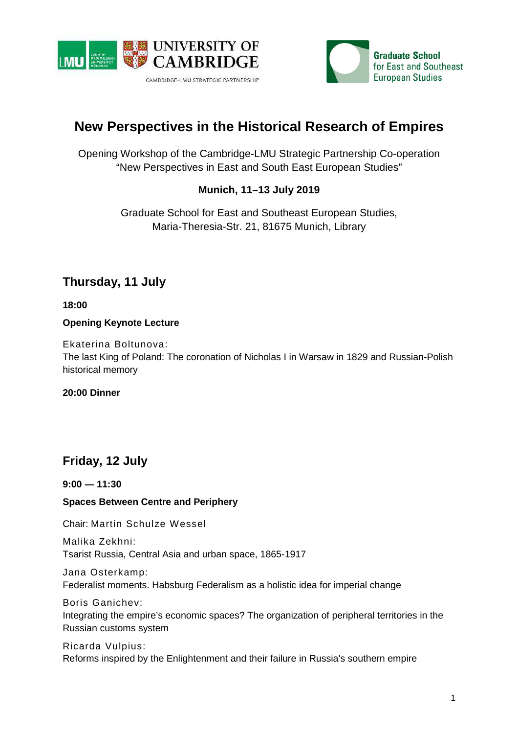



# **New Perspectives in the Historical Research of Empires**

Opening Workshop of the Cambridge-LMU Strategic Partnership Co-operation "New Perspectives in East and South East European Studies"

### **Munich, 11–13 July 2019**

Graduate School for East and Southeast European Studies, Maria-Theresia-Str. 21, 81675 Munich, Library

# **Thursday, 11 July**

**18:00** 

**Opening Keynote Lecture** 

Ekaterina Boltunova: The last King of Poland: The coronation of Nicholas I in Warsaw in 1829 and Russian-Polish historical memory

**20:00 Dinner** 

## **Friday, 12 July**

**9:00 ― 11:30** 

### **Spaces Between Centre and Periphery**

Chair: Martin Schulze Wessel

Malika Zekhni: Tsarist Russia, Central Asia and urban space, 1865-1917

Jana Osterkamp: Federalist moments. Habsburg Federalism as a holistic idea for imperial change

Boris Ganichev: Integrating the empire's economic spaces? The organization of peripheral territories in the Russian customs system

Ricarda Vulpius: Reforms inspired by the Enlightenment and their failure in Russia's southern empire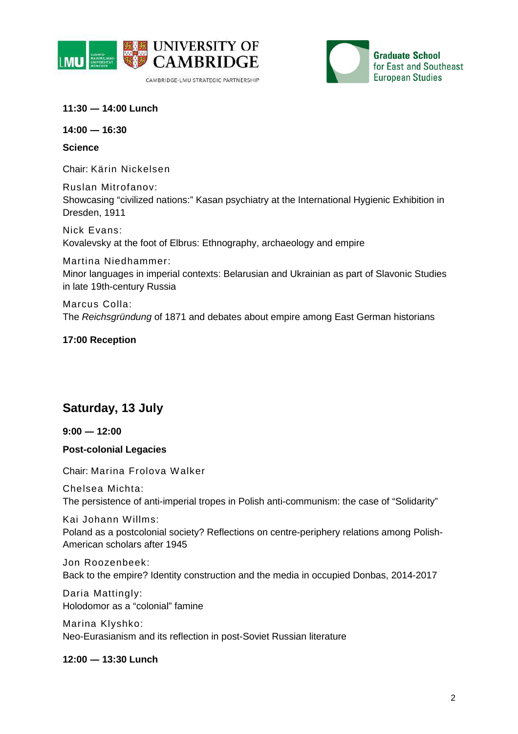



**11:30 ― 14:00 Lunch** 

**14:00 ― 16:30** 

**Science** 

Chair: Kärin Nickelsen

Ruslan Mitrofanov: Showcasing "civilized nations:" Kasan psychiatry at the International Hygienic Exhibition in Dresden, 1911

Nick Evans: Kovalevsky at the foot of Elbrus: Ethnography, archaeology and empire

Martina Niedhammer: Minor languages in imperial contexts: Belarusian and Ukrainian as part of Slavonic Studies in late 19th-century Russia

Marcus Colla: The Reichsgründung of 1871 and debates about empire among East German historians

### **17:00 Reception**

## **Saturday, 13 July**

**9:00 ― 12:00** 

### **Post-colonial Legacies**

Chair: Marina Frolova Walker

Chelsea Michta: The persistence of anti-imperial tropes in Polish anti-communism: the case of "Solidarity"

Kai Johann Willms: Poland as a postcolonial society? Reflections on centre-periphery relations among Polish-American scholars after 1945

Jon Roozenbeek: Back to the empire? Identity construction and the media in occupied Donbas, 2014-2017

Daria Mattingly: Holodomor as a "colonial" famine

Marina Klyshko: Neo-Eurasianism and its reflection in post-Soviet Russian literature

**12:00 ― 13:30 Lunch**